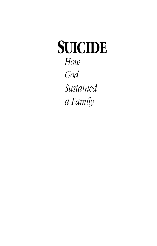# **SUICIDE**

*How God Sustained a Family*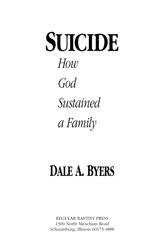**SUICIDE** *How God Sustained a Family*

## **DALE A. BYERS**

REGULAR BAPTIST PRESS 1300 North Meacham Road Schaumburg, Illinois 60173-4888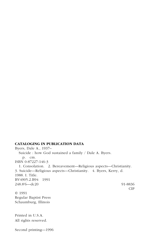#### **CATALOGING IN PUBLICATION DATA**

Byers, Dale A., 1937– Suicide : how God sustained a family / Dale A. Byers. p. cm. ISBN 0-87227-146-3 1. Consolation. 2. Bereavement—Religious aspects—Christianity. 3. Suicide—Religious aspects—Christianity. 4. Byers, Kerry, d. 1988. I. Title. BV4905.2.B94 1991 248.8'6—dc20 91-8836 CIP © 1991

Regular Baptist Press Schaumburg, Illinois

Printed in U.S.A. All rights reserved.

Second printing—1996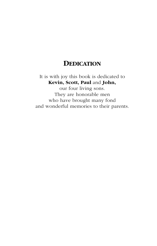#### **DEDICATION**

It is with joy this book is dedicated to **Kevin, Scott, Paul** and **John,** our four living sons. They are honorable men who have brought many fond and wonderful memories to their parents.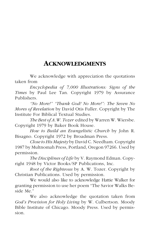#### **ACKNOWLEDGMENTS**

We acknowledge with appreciation the quotations taken from

*Encyclopedia of 7,000 Illustrations: Signs of the Times* by Paul Lee Tan. Copyright 1979 by Assurance Publishers.

*"No More!" "Thank God! No More!": The Seven No Mores of Revelation* by David Otis Fuller. Copyright by The Institute For Biblical Textual Studies.

*The Best of A.W. Tozer* edited by Warren W. Wiersbe. Copyright 1979 by Baker Book House.

*How to Build an Evangelistic Church* by John R. Bisagno. Copyright 1972 by Broadman Press.

*Close to His Majesty* by David C. Needham. Copyright 1987 by Multnomah Press, Portland, Oregon 97266. Used by permission.

*The Disciplines of Life* by V. Raymond Edman. Copyright 1948 by Victor Books/SP Publications, Inc.

*Root of the Righteous* by A. W. Tozer. Copyright by Christian Publications. Used by permission.

We would also like to acknowledge Hattie Walker for granting permission to use her poem "The Savior Walks Beside Me."

We also acknowledge the quotation taken from *God's Provision for Holy Living* by W. Culbertson. Moody Bible Institute of Chicago. Moody Press. Used by permission.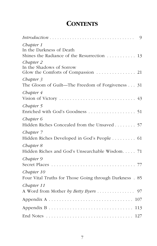### **CONTENTS**

| $Introduction \dots \dots \dots \dots \dots \dots \dots \dots \dots \dots \dots \dots \dots \dots \$ |
|------------------------------------------------------------------------------------------------------|
| Chapter 1<br>In the Darkness of Death<br>Shines the Radiance of the Resurrection  13                 |
| Chapter 2<br>In the Shadows of Sorrow<br>Glow the Comforts of Compassion  21                         |
| Chapter 3<br>The Gloom of Guilt—The Freedom of Forgiveness 31                                        |
| Chapter 4                                                                                            |
| Chapter 5                                                                                            |
| Chapter 6<br>Hidden Riches Concealed from the Unsaved 57                                             |
| Chapter 7<br>Hidden Riches Developed in God's People  61                                             |
| Chapter 8<br>Hidden Riches and God's Unsearchable Wisdom 71                                          |
| Chapter 9                                                                                            |
| Chapter 10<br>Four Vital Truths for Those Going through Darkness . 85                                |
| Chapter 11                                                                                           |
|                                                                                                      |
|                                                                                                      |
|                                                                                                      |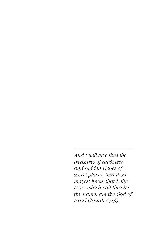*And I will give thee the treasures of darkness, and hidden riches of secret places, that thou mayest know that I, the LORD, which call thee by thy name, am the God of Israel (Isaiah 45:3).*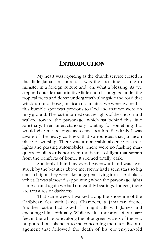#### **INTRODUCTION**

My heart was rejoicing as the church service closed in that little Jamaican church. It was the first time for me to minister in a foreign culture and, oh, what a blessing! As we stepped outside that primitive little church snuggled under the tropical trees and dense undergrowth alongside the road that winds around those Jamaican mountains, we were aware that this humble spot was precious to God and that we were on holy ground. The pastor turned out the lights of the church and walked toward the parsonage, which sat behind this little sanctuary. I remained stationary, waiting for something that would give me bearings as to my location. Suddenly I was aware of the heavy darkness that surrounded that Jamaican place of worship. There was a noticeable absence of street lights and passing automobiles. There were no flashing marquees or billboards nor even the beams of light that stream from the comforts of home. It seemed totally dark.

Suddenly I lifted my eyes heavenward and was awestruck by the beauties above me. Never had I seen stars so big and so bright; they were like huge gems lying in a case of black velvet. It was almost disappointing when the parsonage lights came on and again we had our earthly bearings. Indeed, there are treasures of darkness.

That same week I walked along the shoreline of the Caribbean Sea with James Chambers, a Jamaican friend. Another pastor had asked if I might talk with James and encourage him spiritually. While we left the prints of our bare feet in the white sand along the blue-green waters of the sea, he poured out his heart to me concerning the utter discouragement that followed the death of his eleven-year-old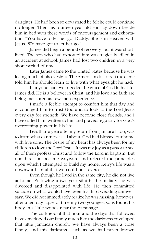daughter. He had been so devastated he felt he could continue no longer. Then his fourteen-year-old son lay down beside him in bed with these words of encouragement and exhortation: "You have to let her go, Daddy. She is in Heaven with Jesus. We have got to let her go!"

James did begin a period of recovery, but it was shortlived. The son who had exhorted him was tragically killed in an accident at school. James had lost two children in a very short period of time!

Later James came to the United States because he was losing much of his eyesight. The American doctors at the clinic told him he should learn to live with what eyesight he had.

If anyone had ever needed the grace of God in his life, James did. He is a believer in Christ, and his love and faith are being measured as few men experience.

I made a feeble attempt to comfort him that day and encouraged him to trust God and to look to the Lord Jesus every day for strength. We have become close friends; and I have called him, written to him and prayed regularly for God's overcoming power in his life.

Less than a year after my return from Jamaica I, too, was to learn what darkness is all about. God had blessed our home with five sons. The desire of my heart has always been for my children to love the Lord Jesus. It was my joy as a pastor to see all of them profess Christ and follow the Lord in baptism. But our third son became wayward and rejected the principles upon which I attempted to build my home. Kerry's life was a downward spiral that we could not reverse.

Even though he lived in the same city, he did not live at home. Following a two-year stint in the military, he was divorced and disappointed with life. He then committed suicide on what would have been his third wedding anniversary. We did not immediately realize he was missing; however, after a ten-day lapse of time my two youngest sons found his body in a little woods near the parsonage.

The darkness of that hour and the days that followed have enveloped our family much like the darkness enveloped that little Jamaican church. We have always been a close family, and this darkness—such as we had never known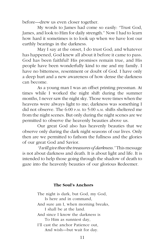before—drew us even closer together.

My words to James had come so easily: "Trust God, James, and look to Him for daily strength." Now I had to learn how hard it sometimes is to look up when we have lost our earthly bearings in the darkness.

May I say at the onset, I do trust God; and whatever has happened, God knew all about it before it came to pass. God has been faithful! His promises remain true, and His people have been wonderfully kind to me and my family. I have no bitterness, resentment or doubt of God. I have only a deep hurt and a new awareness of how dense the darkness can become.

As a young man I was an offset printing pressman. At times while I worked the night shift during the summer months, I never saw the night sky. Those were times when the heavens were always light to me; darkness was something I did not observe. The 6:00 P.M. to 5:00 A.M. shifts sheltered me from the night scenes. But only during the night scenes are we permitted to observe the heavenly beauties above us.

Our great God also has heavenly beauties that we observe only during the dark night seasons of our lives. Only then are we permitted to fathom the fullness and the glories of our great God and Savior.

*"I will give thee the treasures of darkness."* This message is not about darkness and death. It is about light and life. It is intended to help those going through the shadow of death to gaze into the heavenly beauties of our glorious Redeemer.

#### **The Soul's Anchors**

The night is dark, but God, my God, Is here and in command, And sure am I, when morning breaks, I shall be at the land. And since I know the darkness is To Him as sunniest day, I'll cast the anchor Patience out, And wish—but wait for day.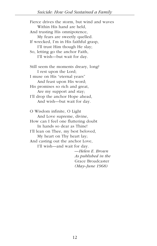Fierce drives the storm, but wind and waves Within His hand are held, And trusting His omnipotence, My fears are sweetly quelled. If wrecked, I'm in His faithful grasp, I'll trust Him though He slay; So, letting go the anchor Faith, I'll wish—but wait for day. Still seem the moments dreary, long? I rest upon the Lord; I muse on His "eternal years" And feast upon His word; His promises so rich and great, Are my support and stay; I'll drop the anchor Hope ahead, And wish—but wait for day. O Wisdom infinite, O Light And Love supreme, divine, How can I feel one fluttering doubt In hands so dear as Thine! I'll lean on Thee, my best beloved, My heart on Thy heart lay; And casting out the anchor Love, I'll wish—and wait for day. *—Helen E. Brown As published in the* Grace Broadcaster

*(May–June 1968)*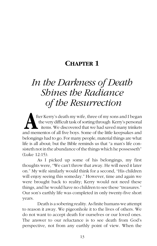### **CHAPTER 1**

## *In the Darkness of Death Shines the Radiance of the Resurrection*

**After Kerry's death my wife, three of my sons and I began the very difficult task of sorting through Kerry's personal items. We discovered that we had saved many trinkets and mementos of all five boys. Some of the little** the very difficult task of sorting through Kerry's personal items. We discovered that we had saved many trinkets and mementos of all five boys. Some of the little keepsakes and belongings had to go. For many people, material things are what life is all about; but the Bible reminds us that "a man's life consisteth not in the abundance of the things which he possesseth" (Luke 12:15).

As I picked up some of his belongings, my first thoughts were, "We can't throw that away. He will need it later on." My wife similarly would think for a second, "His children will enjoy seeing this someday." However, time and again we were brought back to reality; Kerry would not need these things, and he would have no children to see these "treasures." Our son's earthly life was completed in only twenty-five short years.

Death is a sobering reality. As finite humans we attempt to reason it away. We pigeonhole it to the lives of others. We do not want to accept death for ourselves or our loved ones. The answer to our reluctance is to see death from God's perspective, not from any earthly point of view. When the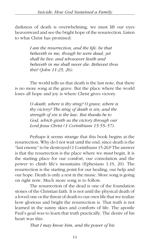darkness of death is overwhelming, we must lift our eyes heavenward and see the bright hope of the resurrection. Listen to what Christ has promised:

> *I am the resurrection, and the life: he that believeth in me, though he were dead, yet shall he live: and whosoever liveth and believeth in me shall never die. Believest thou this? (John 11:25, 26).*

The world tells us that death is the last note, that there is no more song at the grave. But the place where the world loses all hope and joy is where Christ gives victory.

> *O death, where is thy sting? O grave, where is thy victory? The sting of death is sin; and the strength of sin is the law. But thanks be to God, which giveth us the victory through our Lord Jesus Christ (1 Corinthians 15:55–57).*

Perhaps it seems strange that this book begins at the resurrection. Why do I not wait until the end, since death is the "last enemy" to be destroyed (1 Corinthians 15:26)? The answer is that the resurrection is the place where we *must* begin. It is the starting place for our comfort, our consolation and the power to climb life's mountains (Ephesians 1:19, 20). The resurrection is the starting point for our healing, our help and our hope. Death is only a rest in the music. More song is going on right now. Much more song is to follow.

The resurrection of the dead is one of the foundation stones of the Christian faith. It is not until the physical death of a loved one or the threat of death to our own life that we realize how glorious and bright the resurrection is. That truth is not learned in the sunny skies and comforts of life. The apostle Paul's goal was to learn that truth practically. The desire of his heart was this:

*That I may know him, and the power of his*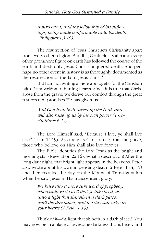*resurrection, and the fellowship of his sufferings, being made conformable unto his death (Philippians 3:10).*

The resurrection of Jesus Christ sets Christianity apart from every other religion. Buddha, Confucius, Stalin and every other prominent figure on earth has followed the course of the earth and died; only Jesus Christ conquered death. And perhaps no other event in history is as thoroughly documented as the resurrection of the Lord Jesus Christ.<sup>1</sup>

But I am not writing a mere apologetic for the Christian faith. I am writing to hurting hearts. Since it is true that Christ arose from the grave, we derive our comfort through the great resurrection promises He has given us.

> *And God hath both raised up the Lord, and will also raise up us by his own power (1 Corinthians 6:14).*

The Lord Himself said, "Because I live, ye shall live also" (John 14:19). As surely as Christ arose from the grave, those who believe on Him shall also live forever.

The Bible identifies the Lord Jesus as the bright and morning star (Revelation 22:16). What a description! After the long dark night, that bright light appears in the heavens. Peter also wrote about his own impending death (2 Peter 1:14, 15) and then recalled the day on the Mount of Transfiguration when he saw Jesus in His transcendent glory:

> *We have also a more sure word of prophecy; whereunto ye do well that ye take heed, as unto a light that shineth in a dark place, until the day dawn, and the day star arise in your hearts (2 Peter 1:19).*

Think of it—"A light that shineth in a dark place." You may now be in a place of awesome darkness that is heavy and

*.*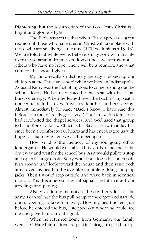frightening; but the resurrection of the Lord Jesus Christ is a bright and glorious light.

The Bible assures us that when Christ appears, a great reunion of those who have died in Christ will take place with those who are still living at the time (1 Thessalonians 4:13–18). We are told that while we as believers may sorrow in this life over the separation from saved loved ones, we sorrow not as others who have no hope. There will be a reunion, and what comfort this should give us.

My mind recalls so distinctly the day I picked up our children at the Christian school when we lived in Indianapolis. As usual Kerry was the first of my sons to come rushing out the school doors. He bounced into the backseat with his usual burst of energy. When he leaned over the back of my seat, I noticed tears in his eyes. It was evident he had been crying. Almost immediately he said, "Dad, I know I have said this before, but today I really got saved." The Life Action Ministries had conducted the chapel services, and God used that group to bring Kerry to know Christ as his Savior. How that day has since been a comfort to our hearts and has encouraged us with hope for that day when we shall meet again.

How vivid is the memory of my son going off to kindergarten. He would walk about fifty yards to the end of the driveway and wait for the school bus. As it would pull to a stop and open its huge doors, Kerry would put down his lunch pail, turn around and look toward the house and then raise both arms over his head and wave like an athlete doing jumping jacks. Then I would step outside and wave back in identical motion. This became our special signal, and it marked our greetings and partings.

Also vivid in my memory is the day Kerry left for the army. I can still see the bus pulling up to the depot and its wide doors opening to take him away. How my heart ached. Just before he entered the bus, I stepped out where he could see me and gave him our old signal.

When he returned home from Germany, our family went to O'Hare International Airport in Chicago to pick him up.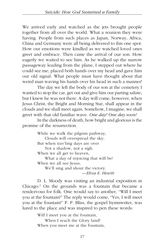We arrived early and watched as the jets brought people together from all over the world. What a reunion they were having. People from such places as Japan, Norway, Africa, China and Germany were all being delivered to this one spot. How our emotions were kindled as we watched loved ones greet and embrace. Then came the arrival of our son. How eagerly we waited to see him. As he walked up the narrow passageway leading from the plane, I stepped out where he could see me, placed both hands over my head and gave him our old signal. What people must have thought about that weird man waving his hands over his head in such a manner!

The day we left the body of our son at the cemetery I wanted to stop the car, get out and give him our parting salute; but I knew he was not there. A day will come, however, when Jesus Christ, the Bright and Morning Star, shall appear in the clouds and we shall meet again. Somehow, I imagine, we shall greet with that old familiar wave. *One day! One day soon!*

In the darkness of death, how bright and glorious is the promise of the resurrection.

> While we walk the pilgrim pathway, Clouds will overspread the sky; But when trav'ling days are over Not a shadow, not a sigh. When we all get to heaven, What a day of rejoicing that will be! When we all see Jesus, We'll sing and shout the victory. *—Eliza E. Hewitt*

D. L. Moody was visiting an industrial exposition in Chicago.<sup>2</sup> On the grounds was a fountain that became a rendezvous for folk. One would say to another, "Will I meet you at the fountain?" The reply would come, "Yes, I will meet you at the fountain!" P. P. Bliss, the gospel hymnwriter, was lured to the place and was inspired to pen these words:

> Will I meet you at the fountain, When I reach the Glory land? When you meet me at the fountain,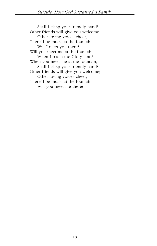Shall I clasp your friendly hand? Other friends will give you welcome; Other loving voices cheer, There'll be music at the fountain, Will I meet you there? Will you meet me at the fountain, When I reach the Glory land? When you meet me at the fountain, Shall I clasp your friendly hand? Other friends will give you welcome; Other loving voices cheer, There'll be music at the fountain, Will you meet me there?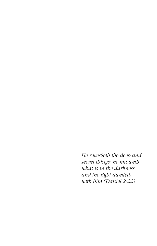*He revealeth the deep and secret things: he knoweth what is in the darkness, and the light dwelleth with him (Daniel 2:22).*